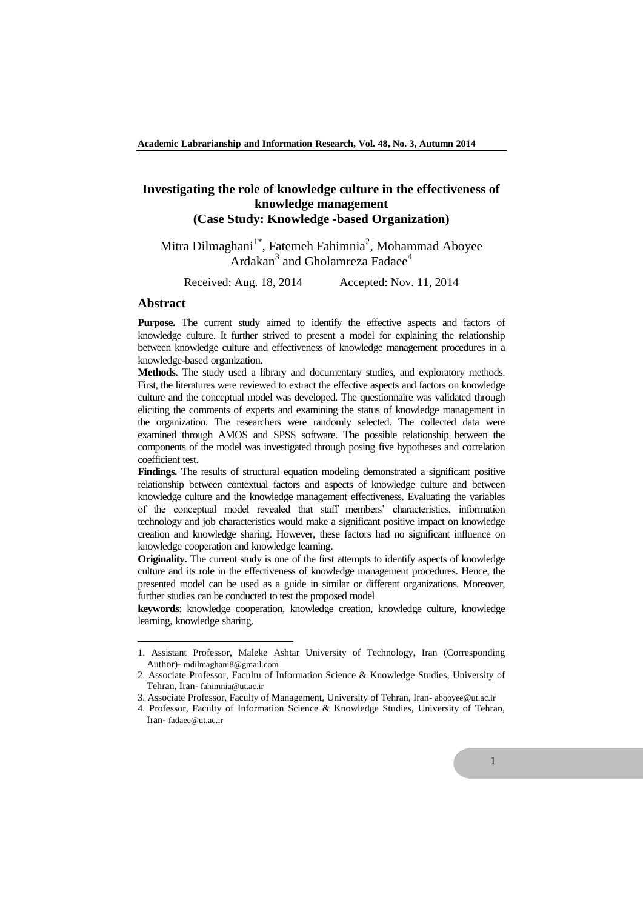# **Investigating the role of knowledge culture in the effectiveness of knowledge management (Case Study: Knowledge -based Organization)**

# Mitra Dilmaghani<sup>1\*</sup>, Fatemeh Fahimnia<sup>2</sup>, Mohammad Aboyee Ardakan<sup>3</sup> and Gholamreza Fadaee<sup>4</sup>

Received: Aug. 18, 2014 Accepted: Nov. 11, 2014

#### **Abstract**

 $\overline{a}$ 

**Purpose.** The current study aimed to identify the effective aspects and factors of knowledge culture. It further strived to present a model for explaining the relationship between knowledge culture and effectiveness of knowledge management procedures in a knowledge-based organization.

**Methods.** The study used a library and documentary studies, and exploratory methods. First, the literatures were reviewed to extract the effective aspects and factors on knowledge culture and the conceptual model was developed. The questionnaire was validated through eliciting the comments of experts and examining the status of knowledge management in the organization. The researchers were randomly selected. The collected data were examined through AMOS and SPSS software. The possible relationship between the components of the model was investigated through posing five hypotheses and correlation coefficient test.

**Findings.** The results of structural equation modeling demonstrated a significant positive relationship between contextual factors and aspects of knowledge culture and between knowledge culture and the knowledge management effectiveness. Evaluating the variables of the conceptual model revealed that staff members' characteristics, information technology and job characteristics would make a significant positive impact on knowledge creation and knowledge sharing. However, these factors had no significant influence on knowledge cooperation and knowledge learning.

**Originality.** The current study is one of the first attempts to identify aspects of knowledge culture and its role in the effectiveness of knowledge management procedures. Hence, the presented model can be used as a guide in similar or different organizations. Moreover, further studies can be conducted to test the proposed model

**keywords**: knowledge cooperation, knowledge creation, knowledge culture, knowledge learning, knowledge sharing.

<sup>1.</sup> Assistant Professor, Maleke Ashtar University of Technology, Iran (Corresponding Author)- mdilmaghani8@gmail.com

<sup>2.</sup> Associate Professor, Facultu of Information Science & Knowledge Studies, University of Tehran, Iran- fahimnia@ut.ac.ir

<sup>3.</sup> Associate Professor, Faculty of Management, University of Tehran, Iran- abooyee@ut.ac.ir

<sup>4.</sup> Professor, Faculty of Information Science & Knowledge Studies, University of Tehran, Iran- fadaee@ut.ac.ir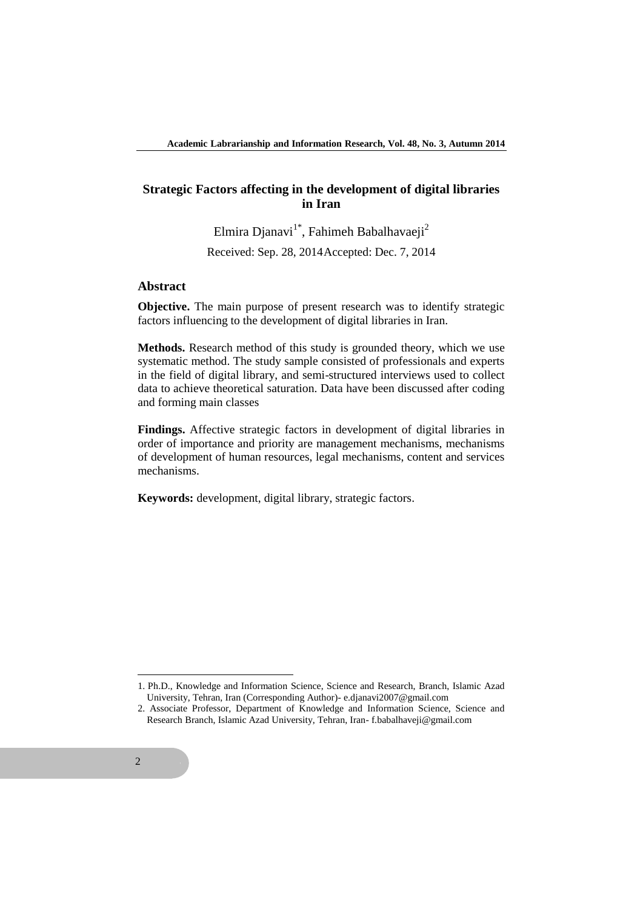## **Strategic Factors affecting in the development of digital libraries in Iran**

Elmira Djanavi<sup>1\*</sup>, Fahimeh Babalhavaeji<sup>2</sup> Received: Sep. 28, 2014Accepted: Dec. 7, 2014

## **Abstract**

**Objective.** The main purpose of present research was to identify strategic factors influencing to the development of digital libraries in Iran.

**Methods.** Research method of this study is grounded theory, which we use systematic method. The study sample consisted of professionals and experts in the field of digital library, and semi-structured interviews used to collect data to achieve theoretical saturation. Data have been discussed after coding and forming main classes

**Findings.** Affective strategic factors in development of digital libraries in order of importance and priority are management mechanisms, mechanisms of development of human resources, legal mechanisms, content and services mechanisms.

**Keywords:** development, digital library, strategic factors.

**.** 

<sup>1.</sup> Ph.D., Knowledge and Information Science, Science and Research, Branch, Islamic Azad University, Tehran, Iran (Corresponding Author)- e.djanavi2007@gmail.com

<sup>2.</sup> Associate Professor, Department of Knowledge and Information Science, Science and Research Branch, Islamic Azad University, Tehran, Iran- f.babalhaveji@gmail.com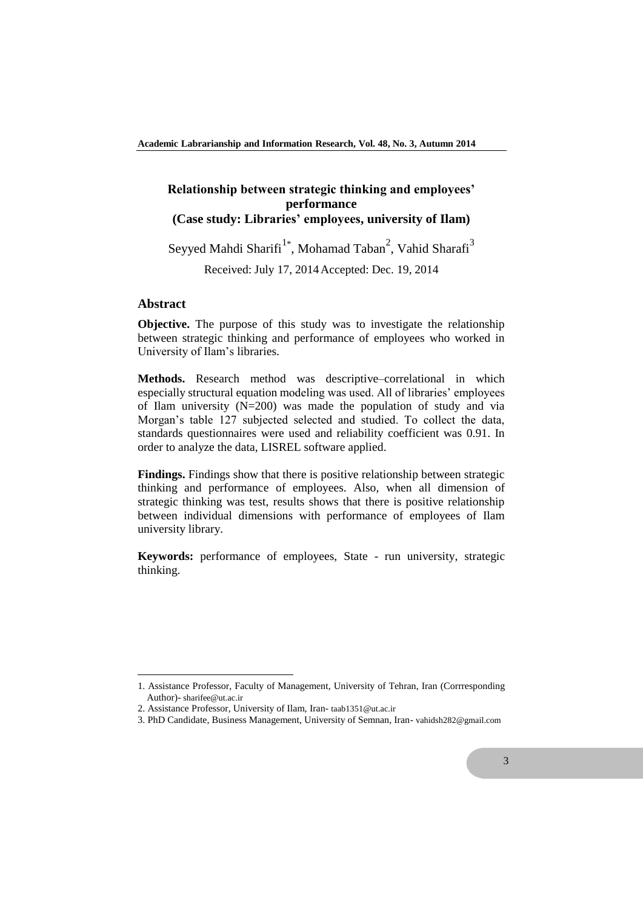## **Relationship between strategic thinking and employees' performance (Case study: Libraries' employees, university of Ilam)**

Seyyed Mahdi Sharifi<sup>1\*</sup>, Mohamad Taban<sup>2</sup>, Vahid Sharafi<sup>3</sup> Received: July 17, 2014Accepted: Dec. 19, 2014

#### **Abstract**

**.** 

**Objective.** The purpose of this study was to investigate the relationship between strategic thinking and performance of employees who worked in University of Ilam's libraries.

**Methods.** Research method was descriptive–correlational in which especially structural equation modeling was used. All of libraries' employees of Ilam university (N=200) was made the population of study and via Morgan's table 127 subjected selected and studied. To collect the data, standards questionnaires were used and reliability coefficient was 0.91. In order to analyze the data, LISREL software applied.

**Findings.** Findings show that there is positive relationship between strategic thinking and performance of employees. Also, when all dimension of strategic thinking was test, results shows that there is positive relationship between individual dimensions with performance of employees of Ilam university library.

**Keywords:** performance of employees, State - run university, strategic thinking.

<sup>1.</sup> Assistance Professor, Faculty of Management, University of Tehran, Iran (Corrresponding Author)- sharifee@ut.ac.ir

<sup>2.</sup> Assistance Professor, University of Ilam, Iran- taab1351@ut.ac.ir

<sup>3.</sup> PhD Candidate, Business Management, University of Semnan, Iran- vahidsh282@gmail.com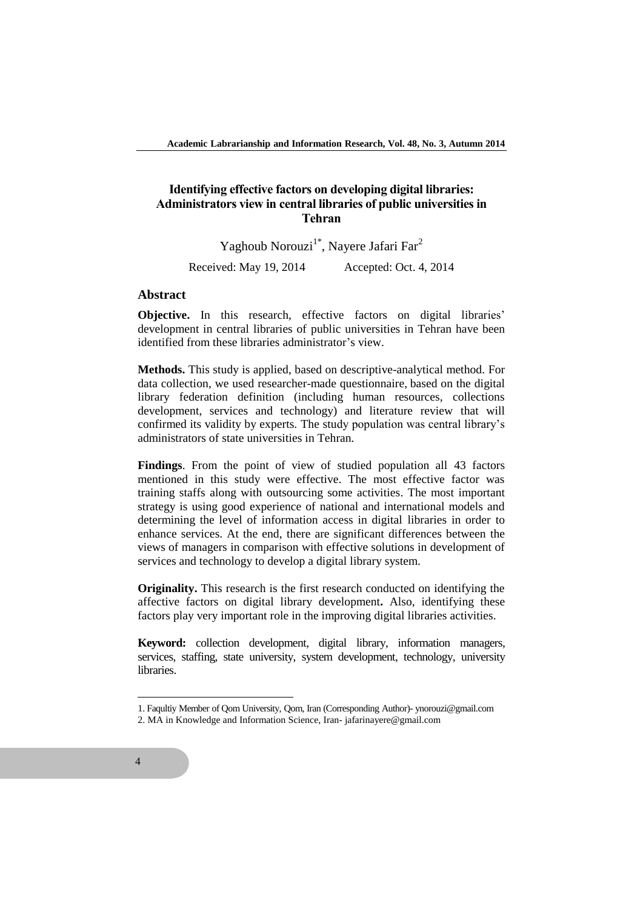## **Identifying effective factors on developing digital libraries: Administrators view in central libraries of public universities in Tehran**

Yaghoub Norouzi<sup>1\*</sup>, Nayere Jafari Far<sup>2</sup>

Received: May 19, 2014 Accepted: Oct. 4, 2014

#### **Abstract**

**Objective.** In this research, effective factors on digital libraries' development in central libraries of public universities in Tehran have been identified from these libraries administrator's view.

**Methods.** This study is applied, based on descriptive-analytical method. For data collection, we used researcher-made questionnaire, based on the digital library federation definition (including human resources, collections development, services and technology) and literature review that will confirmed its validity by experts. The study population was central library's administrators of state universities in Tehran.

**Findings**. From the point of view of studied population all 43 factors mentioned in this study were effective. The most effective factor was training staffs along with outsourcing some activities. The most important strategy is using good experience of national and international models and determining the level of information access in digital libraries in order to enhance services. At the end, there are significant differences between the views of managers in comparison with effective solutions in development of services and technology to develop a digital library system.

**Originality.** This research is the first research conducted on identifying the affective factors on digital library development**.** Also, identifying these factors play very important role in the improving digital libraries activities.

**Keyword:** collection development, digital library, information managers, services, staffing, state university, system development, technology, university **libraries** 

 $\overline{a}$ 

<sup>1.</sup> Faqultiy Member of Qom University, Qom, Iran (Corresponding Author)- ynorouzi@gmail.com

<sup>2.</sup> MA in Knowledge and Information Science, Iran- jafarinayere@gmail.com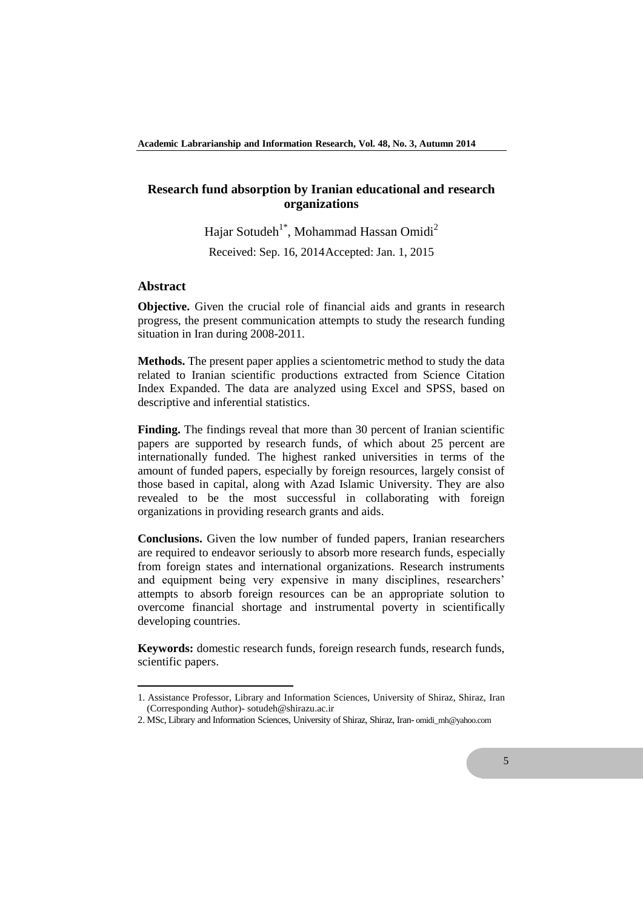## **Research fund absorption by Iranian educational and research organizations**

Hajar Sotudeh<sup>1\*</sup>, Mohammad Hassan Omidi<sup>2</sup>

Received: Sep. 16, 2014Accepted: Jan. 1, 2015

#### **Abstract**

**.** 

**Objective.** Given the crucial role of financial aids and grants in research progress, the present communication attempts to study the research funding situation in Iran during 2008-2011.

**Methods.** The present paper applies a scientometric method to study the data related to Iranian scientific productions extracted from Science Citation Index Expanded. The data are analyzed using Excel and SPSS, based on descriptive and inferential statistics.

**Finding.** The findings reveal that more than 30 percent of Iranian scientific papers are supported by research funds, of which about 25 percent are internationally funded. The highest ranked universities in terms of the amount of funded papers, especially by foreign resources, largely consist of those based in capital, along with Azad Islamic University. They are also revealed to be the most successful in collaborating with foreign organizations in providing research grants and aids.

**Conclusions.** Given the low number of funded papers, Iranian researchers are required to endeavor seriously to absorb more research funds, especially from foreign states and international organizations. Research instruments and equipment being very expensive in many disciplines, researchers' attempts to absorb foreign resources can be an appropriate solution to overcome financial shortage and instrumental poverty in scientifically developing countries.

**Keywords:** domestic research funds, foreign research funds, research funds, scientific papers.

<sup>1.</sup> Assistance Professor, Library and Information Sciences, University of Shiraz, Shiraz, Iran (Corresponding Author)- sotudeh@shirazu.ac.ir

<sup>2.</sup> MSc, Library and Information Sciences, University of Shiraz, Shiraz, Iran- omidi\_mh@yahoo.com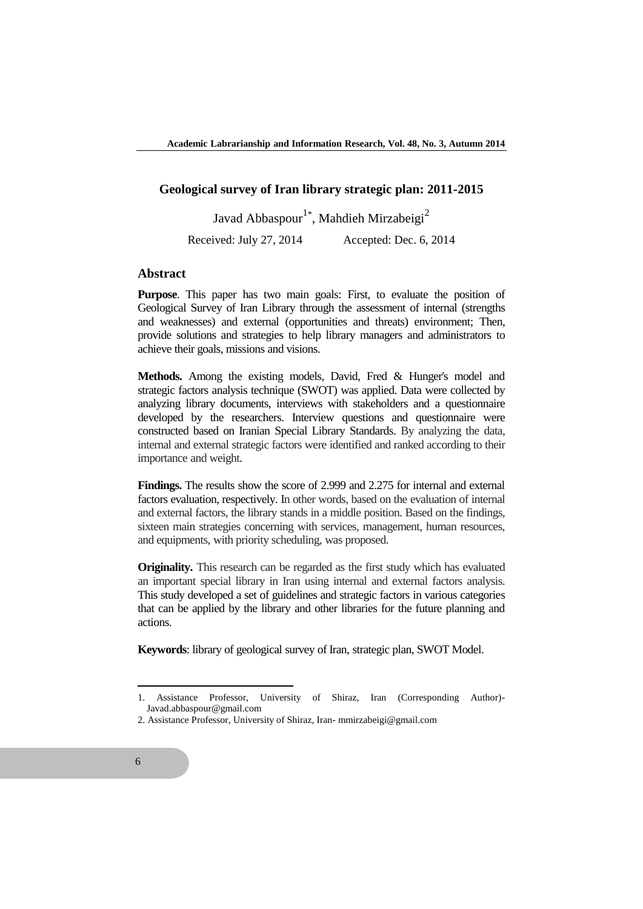## **Geological survey of Iran library strategic plan: 2011-2015**

Javad Abbaspour<sup>1\*</sup>, Mahdieh Mirzabeigi<sup>2</sup>

Received: July 27, 2014 Accepted: Dec. 6, 2014

#### **Abstract**

**Purpose**. This paper has two main goals: First, to evaluate the position of Geological Survey of Iran Library through the assessment of internal (strengths and weaknesses) and external (opportunities and threats) environment; Then, provide solutions and strategies to help library managers and administrators to achieve their goals, missions and visions.

**Methods.** Among the existing models, David, Fred & Hunger's model and strategic factors analysis technique (SWOT) was applied. Data were collected by analyzing library documents, interviews with stakeholders and a questionnaire developed by the researchers. Interview questions and questionnaire were constructed based on Iranian Special Library Standards. By analyzing the data, internal and external strategic factors were identified and ranked according to their importance and weight.

**Findings.** The results show the score of 2.999 and 2.275 for internal and external factors evaluation, respectively. In other words, based on the evaluation of internal and external factors, the library stands in a middle position. Based on the findings, sixteen main strategies concerning with services, management, human resources, and equipments, with priority scheduling, was proposed.

**Originality.** This research can be regarded as the first study which has evaluated an important special library in Iran using internal and external factors analysis. This study developed a set of guidelines and strategic factors in various categories that can be applied by the library and other libraries for the future planning and actions.

**Keywords**: library of geological survey of Iran, strategic plan, SWOT Model.

**.** 

<sup>1.</sup> Assistance Professor, University of Shiraz, Iran (Corresponding Author)- Javad.abbaspour@gmail.com

<sup>2.</sup> Assistance Professor, University of Shiraz, Iran- mmirzabeigi@gmail.com